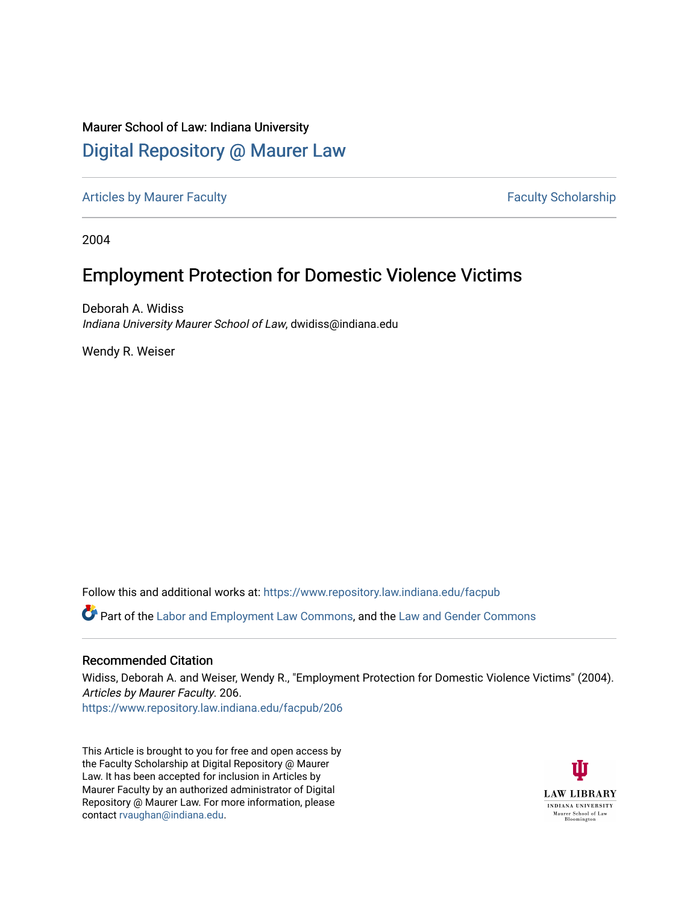# Maurer School of Law: Indiana University [Digital Repository @ Maurer Law](https://www.repository.law.indiana.edu/)

[Articles by Maurer Faculty](https://www.repository.law.indiana.edu/facpub) **Faculty Faculty** Scholarship

2004

# Employment Protection for Domestic Violence Victims

Deborah A. Widiss Indiana University Maurer School of Law, dwidiss@indiana.edu

Wendy R. Weiser

Follow this and additional works at: [https://www.repository.law.indiana.edu/facpub](https://www.repository.law.indiana.edu/facpub?utm_source=www.repository.law.indiana.edu%2Ffacpub%2F206&utm_medium=PDF&utm_campaign=PDFCoverPages)

Part of the [Labor and Employment Law Commons](http://network.bepress.com/hgg/discipline/909?utm_source=www.repository.law.indiana.edu%2Ffacpub%2F206&utm_medium=PDF&utm_campaign=PDFCoverPages), and the [Law and Gender Commons](http://network.bepress.com/hgg/discipline/1298?utm_source=www.repository.law.indiana.edu%2Ffacpub%2F206&utm_medium=PDF&utm_campaign=PDFCoverPages) 

## Recommended Citation

Widiss, Deborah A. and Weiser, Wendy R., "Employment Protection for Domestic Violence Victims" (2004). Articles by Maurer Faculty. 206.

[https://www.repository.law.indiana.edu/facpub/206](https://www.repository.law.indiana.edu/facpub/206?utm_source=www.repository.law.indiana.edu%2Ffacpub%2F206&utm_medium=PDF&utm_campaign=PDFCoverPages)

This Article is brought to you for free and open access by the Faculty Scholarship at Digital Repository @ Maurer Law. It has been accepted for inclusion in Articles by Maurer Faculty by an authorized administrator of Digital Repository @ Maurer Law. For more information, please contact [rvaughan@indiana.edu](mailto:rvaughan@indiana.edu).

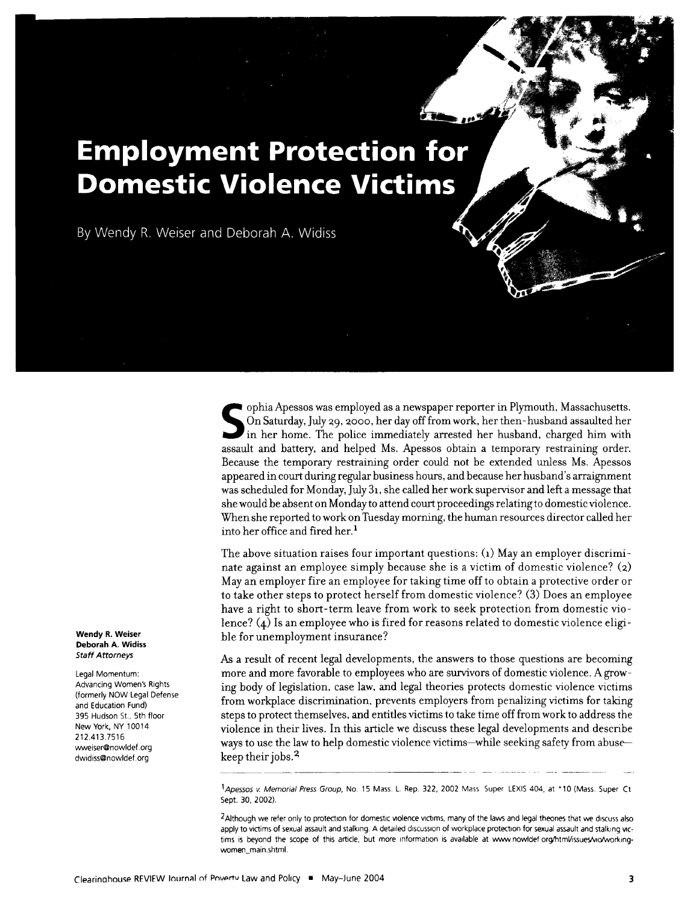# **Employment Protection for Domestic Violence Victims**

By Wendy R. Weiser and Deborah A. Widiss

ophia Apessos was employed as a newspaper reporter in Plymouth, Massachusetts.  $\Omega$  On Saturday, July 29, 2000, her day off from work, her then-husband assaulted her in her home. The police immediately arrested her husband, charged him with assault and battery, and helped Ms. Apessos obtain a temporary restraining order. Because the temporary restraining order could not be extended unless Ms. Apessos appeared in court during regular business hours, and because her husband's arraignment was scheduled for Monday, July **31,** she called her work supervisor and left a message that she would be absent on Monday to attend court proceedings relating to domestic violence. When she reported to work on Tuesday morning, the human resources director called her into her office and fired her.<sup>1</sup>

The above situation raises four important questions: **(1)** May an employer discriminate against an employee simply because she is a victim of domestic violence? (2) May an employer fire an employee for taking time off to obtain a protective order or to take other steps to protect herself from domestic violence? (3) Does an employee have a right to short-term leave from work to seek protection from domestic violence? (4) Is an employee who is fired for reasons related to domestic violence eligi  ble for unemployment insurance?

As a result of recent legal developments, the answers to those questions are becoming more and more favorable to employees who are survivors of domestic violence. A growing body of legislation, case law, and legal theories protects domestic violence victims from workplace discrimination, prevents employers from penalizing victims for taking steps to protect themselves, and entitles victims to take time off from work to address the violence in their lives. In this article we discuss these legal developments and describe ways to use the law to help domestic violence victims-while seeking safety from abusekeep their jobs.<sup>2</sup>

*IApessos* v Memorial Press Group, No. 15 Mass. *L.* Rep. 322, 2002 Mass Super LEXIS 404, at **10** (Mass. Super Ct Sept. 30, 2002).

<sup>2</sup> Although we refer only to protection for domestic violence victims, many of the laws and legal theories that we discuss also apply to victims of sexual assault and stalking. A detailed discussion of workplace protection for sexual assault and stalking victims is beyond the scope of this article, but more information is available at www nowldef org/htmVissues/vio/workingwomen main.shtml.

**Wendy R. Weiser Deborah A. Widiss** Staff Attorneys

Legal Momentum: Advancing Women's Rights (formerly NOW Legal Defense and Education Fund) **395** Hudson St., 5th floor New York, NY 10014 212.413.7516 wweiser@nowldef.org dwidiss@nowldef.org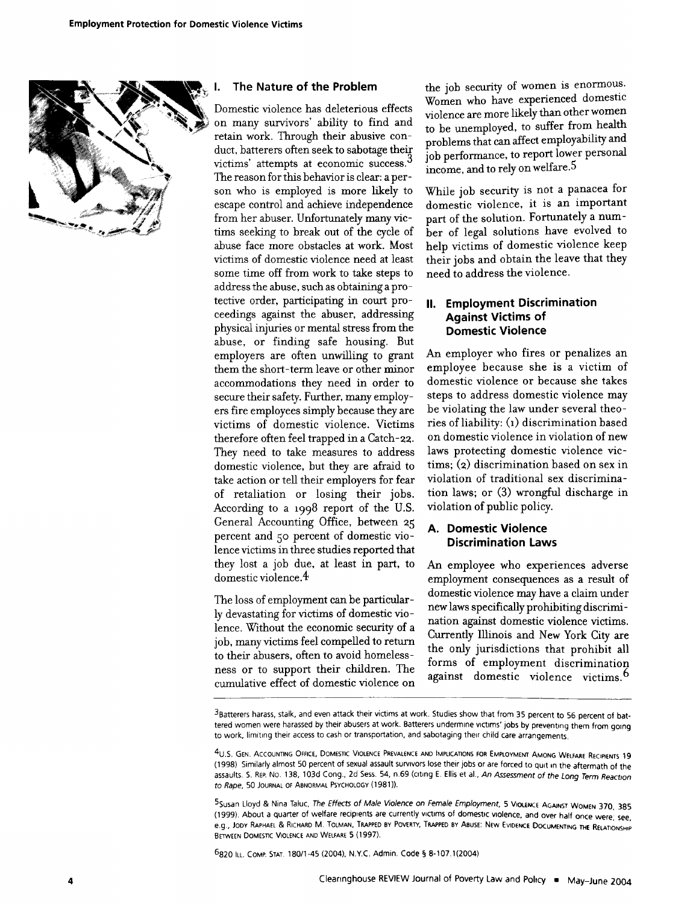

#### **I. The Nature of the Problem**

Domestic violence has deleterious effects on many survivors' ability to find and retain work. Through their abusive conduct, batterers often seek to sabotage their victims' attempts at economic success.<sup>3</sup> The reason for this behavior is clear: a person who is employed is more likely to escape control and achieve independence from her abuser. Unfortunately many victims seeking to break out of the cycle of abuse face more obstacles at work. Most victims of domestic violence need at least some time off from work to take steps to address the abuse, such as obtaining a protective order, participating in court proceedings against the abuser, addressing physical injuries or mental stress from the abuse, or finding safe housing. But employers are often unwilling to grant them the short-term leave or other minor accommodations they need in order to secure their safety. Further, many employers fire employees simply because they are victims of domestic violence. Victims therefore often feel trapped in a Catch-22. They need to take measures to address domestic violence, but they are afraid to take action or tell their employers for fear of retaliation or losing their jobs. According to a 1998 report of the U.S. General Accounting Office, between **25** percent and **50** percent of domestic violence victims in three studies reported that they lost a job due, at least in part, to domestic violence.4

The loss of employment can be particularly devastating for victims of domestic violence. Without the economic security of a job, many victims feel compelled to return to their abusers, often to avoid homelessness or to support their children. The cumulative effect of domestic violence on

the **job** security of women is enormous. Women who have experienced domestic violence are more likely than other women to be unemployed, to suffer from health problems that can affect employability and **job** performance, to report lower personal income, and to rely on welfare.<sup>5</sup>

While **job** security is not a panacea for domestic violence, it is an important part of the solution. Fortunately a number of legal solutions have evolved to help victims of domestic violence keep their jobs and obtain the leave that they need to address the violence.

## **II. Employment Discrimination Against Victims of Domestic Violence**

An employer who fires or penalizes an employee because she is a victim of domestic violence or because she takes steps to address domestic violence may be violating the law under several theories of liability: **(1)** discrimination based on domestic violence in violation of new laws protecting domestic violence victims; (z) discrimination based on sex in violation of traditional sex discrimination laws; or **(3)** wrongful discharge in violation of public policy.

## **A. Domestic Violence Discrimination Laws**

An employee who experiences adverse employment consequences as a result of domestic violence may have a claim under new laws specifically prohibiting **discrini**nation against domestic violence victims. Currently Illinois and New York City are the only jurisdictions that prohibit all forms **of** employment discrimination against domestic violence victims.<sup>6</sup>

3Batterers harass, stalk, and even attack their victims at work. Studies show that from 35 percent to 56 percent of battered women were harassed by their abusers at work. Batterers undermine victims' jobs by preventing them from going to work, limiting their access to cash or transportation, and sabotaging their child care arrangements,

5Susan Lloyd **&** Nina Taluc, The Effects of Male Violence on Female Employment, 5 **VIOLENCE AGAINST** WOMEN 370, 385 (1999). About a quarter of welfare recipients are currently victims of domestic violence, and over half once were; see, e.g., **JODY** RAPHAEL **&** RICHARD M. **TOLMAN,** TRAPPED **BY POVERTY,** TRAPPED BY **ABUSE:** NEW **EVIDENCE** DOCUMENTING **THE** RELATIONSHIP **BETWEEN DOMESTIC VIOLENCE AND** WELFARE 5 (1997).

6820 ILL. COMP. **STAT** 180/1-45 (2004). N.Y.C. Admin. Code **§ 8-107.1(2004)**

**<sup>4</sup>U.S. GEN. ACCOUNTING** OFFICE, DOMESTIC **VIOLENCE PREVALENCE AND** IMPLICATIONS **FOR** EMPLOYMENT **AMONG** WELFARE REcIPIENTS 19 (1998) Similarly almost 50 percent of sexual assault survivors lose their jobs or are forced to quit in the aftermath of the assaults. S. REP. No. 138, 103d Cong., 2d Sess. 54, n.69 (citing E. Ellis et al., An Assessment of the Long Term Reaction to Rape, 50 **JOURNAL** OF ABNORMAL PSYCHOLOGY (1981)).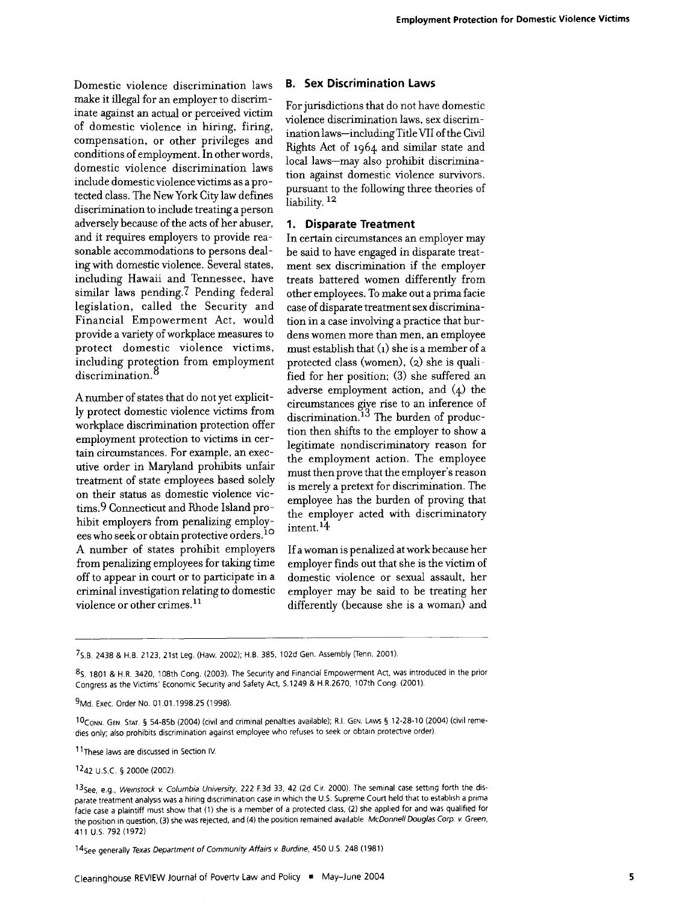Domestic violence discrimination laws make it illegal for an employer to discriminate against an actual or perceived victim of domestic violence in hiring, firing, compensation, or other privileges and conditions of employment. In other words, domestic violence discrimination laws include domestic violence victims as a protected class. The New York City law defines discrimination to include treating a person adversely because of the acts of her abuser, and it requires employers to provide reasonable accommodations to persons dealing with domestic violence. Several states, including Hawaii and Tennessee, have similar laws pending.7 Pending federal legislation, called the Security and Financial Empowerment Act, would provide a variety of workplace measures to protect domestic violence victims, including protection from employment discrimination.<sup>8</sup>

A number of states that do not yet explicitly protect domestic violence victims from workplace discrimination protection offer employment protection to victims in certain circumstances. For example, an executive order in Maryland prohibits unfair treatment of state employees based solely on their status as domestic violence victims.9 Connecticut and Rhode Island prohibit employers from penalizing employees who seek or obtain protective orders. **<sup>10</sup>** A number of states prohibit employers from penalizing employees for taking time off to appear in court or to participate in a criminal investigation relating to domestic violence or other crimes.<sup>11</sup>

#### **B. Sex Discrimination Laws**

For jurisdictions that do not have domestic violence discrimination laws, sex discrimination laws-including Title VII of the Civil Rights Act of 1964 and similar state and local laws-may also prohibit discrimination against domestic violence survivors, pursuant to the following three theories of liability.<sup>12</sup>

#### **1. Disparate Treatment**

In certain circumstances an employer may be said to have engaged in disparate treatment sex discrimination if the employer treats battered women differently from other employees. To make out a prima facie case of disparate treatment sex discrinination in a case involving a practice that burdens women more than men, an employee must establish that **(1)** she is a member of a protected class (women), (2) she is qualified for her position; (3) she suffered an adverse employment action, and (4) the circumstances give rise to an inference of discrimination.<sup>13</sup> The burden of production then shifts to the employer to show a legitimate nondiscriminatory reason for the employment action. The employee must then prove that the employer's reason is merely a pretext for discrimination. The employee has the burden of proving that the employer acted with discriminatory intent. 14

If a woman is penalized at work because her employer finds out that she is the victim of domestic violence or sexual assault, her employer may be said to be treating her differently (because she is a woman) and

**1** t These laws are discussed in Section IV

14 See generally Texas Department of Community Affairs v. Burdine, 450 U.S. 248 (1981)

**<sup>7</sup>S.B.** 2438 & H.B. 2123, 21st Leg. (Haw. 2002); H.B. 385, 102d Gen. Assembly (Tenn. 2001).

**<sup>8</sup>S,** 1801 & H.R. 3420, 108th Cong. (2003). The Security and Financial Empowerment Act, was introduced in the prior Congress as the Victims' Economic Security and Safety Act, S.1249 & H.R.2670, 107th Cong. (2001).

<sup>9</sup> Md. Exec. Order No. 01.01.1998.25 (1998).

<sup>10</sup> CoNN. GEN. **STAT. §** 54-85b (2004) (civil and criminal penalties available); R.I. GEN. LAws **§** 12-28-10 (2004) (civil remedies only; also prohibits discrimination against employee who refuses to seek or obtain protective order),

<sup>1242</sup> U.S.C. § 2000e (2002).

<sup>1</sup> <sup>3</sup> See, e.g., Weinstock v. Columbia University, 222 F.3d **33,** 42 (2d Cir 2000). The seminal case setting forth the disparate treatment analysis was a hiring discrimination case in which the U.S. Supreme Court held that to establish a prima fade case a plaintiff must show that (1) she is a member of a protected class, (2) she applied for and was qualified for the position in question, (3) she was rejected, and (4) the position remained available McDonnell Douglas Corp. v. Green, 411 U.S. **792** (1972)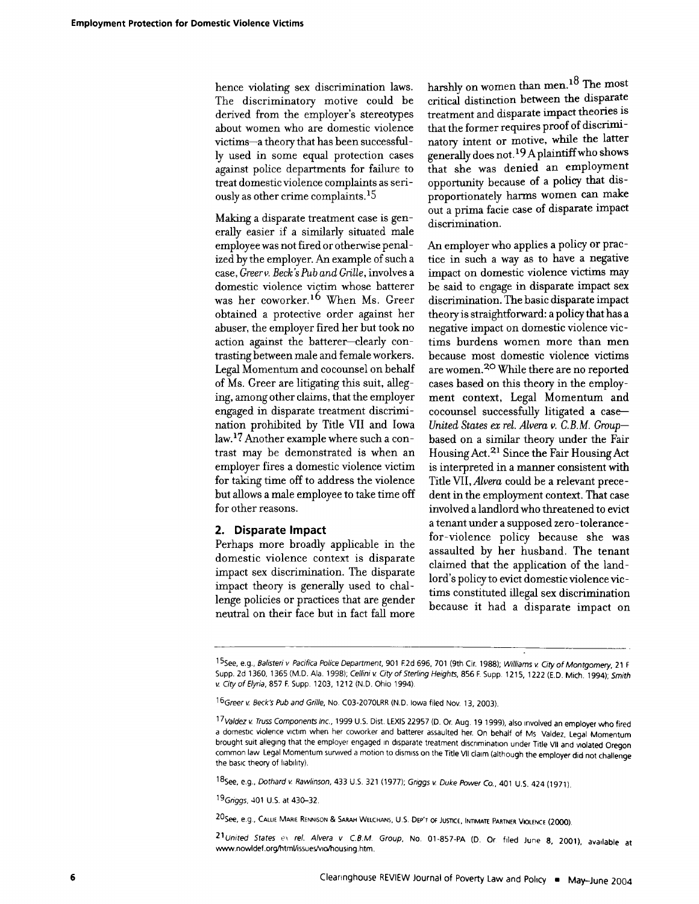hence violating sex discrimination laws. The discriminatory motive could be derived from the employer's stereotypes about women who are domestic violence victims-a theory that has been successfully used in some equal protection cases against police departments for failure to treat domestic violence complaints as seriously as other crime complaints.<sup>15</sup>

Making a disparate treatment case is generally easier if a similarly situated male employee was not fired or otherwise penalized by the employer. An example of such a case, *Greer v. Beck's Pub and Grille,* involves a domestic violence victim whose batterer was her coworker.16 When Ms. Greer obtained a protective order against her abuser, the employer fired her but took no action against the batterer-clearly contrasting between male and female workers. Legal Momentum and cocounsel on behalf of Ms. Greer are litigating this suit, alleging, among other claims, that the employer engaged in disparate treatment discrimination prohibited by Title VII and Iowa law. **17** Another example where such a contrast may be demonstrated is when an employer fires a domestic violence victim for taking time off to address the violence but allows a male employee to take time off for other reasons.

#### **2. Disparate Impact**

Perhaps more broadly applicable in the domestic violence context is disparate impact sex discrimination. The disparate impact theory is generally used to challenge policies or practices that are gender neutral on their face but in fact fall more

harshly on women than men.18 The most critical distinction between the disparate treatment and disparate impact theories is that the former requires proof of discriminatory intent or motive, while the latter generally does not. **19** Aplaintiff who shows that she was denied an employment opportunity because of a policy that disproportionately harms women can make out a prima facie case of disparate impact discrimination.

An employer who applies a policy or practice in such a way as to have a negative impact on domestic violence victims may be said to engage in disparate impact sex discrimination. The basic disparate impact theory is straightforward: a policy that has a negative impact on domestic violence victims burdens women more than men because most domestic violence victims are women.<sup>20</sup> While there are no reported cases based on this theory in the employment context, Legal Momentum and cocounsel successfully litigated a case-*United States ex rel. Alvera v. C.B.M. Group*based on a similar theory under the Fair Housing Act.<sup>21</sup> Since the Fair Housing Act is interpreted in a manner consistent with Title VII, *Alvera* could be a relevant precedent in the employment context. That case involved a landlord who threatened to evict a tenant under a supposed zero -tolerance  for-violence policy because she was assaulted by her husband. The tenant claimed that the application of the landlord's policy to evict domestic violence victims constituted illegal sex discrimination because it had a disparate impact on

*18See,* e.g., Dothard v Rawlinson, 433 **U.S.** 321 (1977); Gnggs v Duke Power Co., 401 U.S. 424 (1971).

19 Griggs, 401 U.S. at 430-32.

20See, e.g., *CALLA* MARIE **RENNISON &** SARAH **WELCHANS, U.S. DEP'T** OF JusncE, INlMATE PARTNER **VIOLENCE** (2000).

*<sup>2</sup> <sup>1</sup>* United States ex rel. Alvera v CBM Group, No. 01-857-PA **(D.** Or filed June 8, 2001), available at www.nowldef.org/html/issues/vio/housing.htm.

<sup>1</sup><sup>5</sup> See, e.g., Balisteri v Pacifica Police Department, 901 **F2d** 696, 701 (9th Cir. 1988); Williams v City of Montgomery, 21 F Supp. **2d** 1360, 1365 (M.D. Ala. 1998); Cellini v City of Sterling Heights, 856 F. Supp. 1215, 1222 (E.D. Mich. 1994); *Smith* v City of Elyria, 857 F Supp 1203, 1212 **(ND.** Ohio 1994).

<sup>16</sup> Greer v Beck's Pub and Grille, No. C03-207OLRR (N.D. Iowa filed Nov. **13,** 2003).

*<sup>17</sup> Valdez* v Truss Components Inc., 1999 U.S. Dist. LEXIS 22957 **(D.** Or. Aug. 19 1999), also involved an employer who fired a domestic violence victim when her coworker and batterer assaulted her. On behalf of Ms Valdez, Legal Momentum brought suit alleging that the employer engaged in disparate treatment discrimination under Title VII and violated Oregon common law Legal Momentum survived a motion to dismiss on the Title VII claim (although the employer did not challenge the basic theory of liability).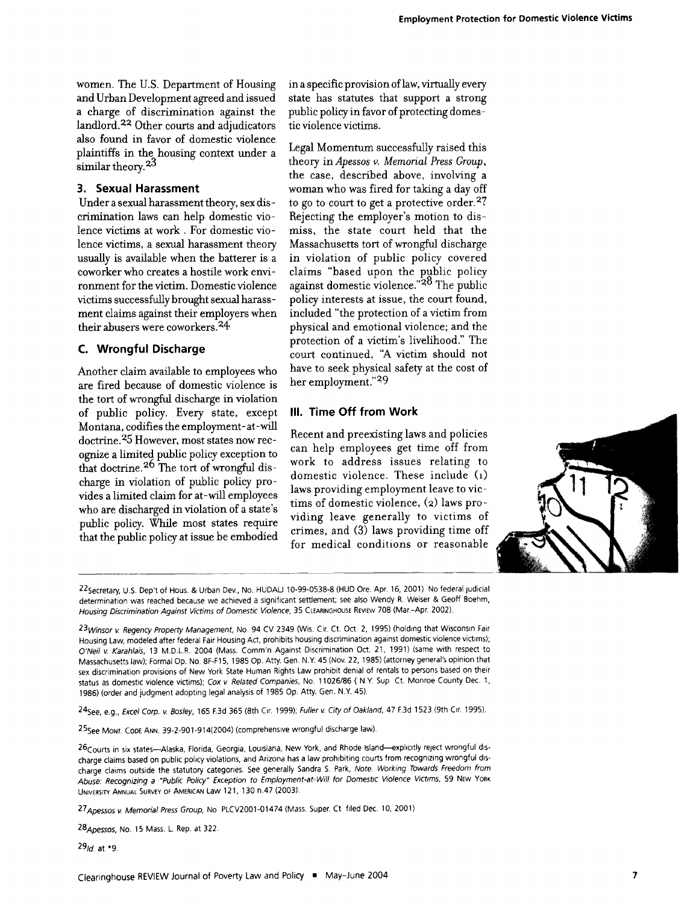women. The U.S. Department of Housing and Urban Development agreed and issued a charge of discrimination against the landlord.32 Other courts and adjudicators also found in favor of domestic violence plaintiffs in the housing context under a similar theory.<sup>23</sup>

#### **3. Sexual Harassment**

Under a sexual harassment theory, sex discrimination laws can help domestic violence victims at work. For domestic violence victims, a sexual harassment theory usually is available when the batterer is a coworker who creates a hostile work environment for the victim. Domestic violence victims successfully brought sexual harassment claims against their employers when their abusers were coworkers.24

#### **C. Wrongful Discharge**

Another claim available to employees who are fired because of domestic violence is the tort of wrongful discharge in violation of public policy. Every state, except Montana, codifies the employment-at-will doctrine.35 However, most states now recognize a limited public policy exception to that doctrine.<sup>26</sup> The tort of wrongful discharge in violation of public policy provides a limited claim for at-will employees who are discharged in violation of a state's public policy. While most states require that the public policy at issue be embodied

in a specific provision of law, virtually every state has statutes that support a strong public policy in favor of protecting domestic violence victims.

Legal Momentum successfully raised this theory in *Apessos* v. *Memorial Press Group,* the case, described above, involving a woman who was fired for taking a day off to go to court to get a protective order.<sup>27</sup> Rejecting the employer's motion to dismiss, the state court held that the Massachusetts tort of wrongful discharge in violation of public policy covered claims "based upon the public policy  $a$ gainst domestic violence."<sup>28</sup> The public policy interests at issue, the court found, included "the protection of a victim from physical and emotional violence; and the protection of a victim's livelihood." The court continued, "A victim should not have to seek physical safety at the cost of her employment."29

## **III. Time Off from Work**

Recent and preexisting laws and policies can help employees get time off from work to address issues relating to domestic violence. These include (1) laws providing employment leave to victims of domestic violence, (2) laws providing leave generally to victims of crimes, and  $(3)$  laws providing time off for medical conditions or reasonable



<sup>22</sup> Secretary, U.S. Dep't of Hous. & Urban Dev., No. HUDAU 10-99-0538-8 (HUD Ore. Apr. 16, 2001) No federal judicial determination was reached because we achieved a significant settlement; see also Wendy R. Weiser & Geoff Boehm, Housing Discrimination Against Victims of Domestic Violence, **35** CLEARINGHOUSE REVEW 708 (Mar.-Apr, 2002).

23 Winsor v. Regency Property Management, No. 94 CV 2349 (Wis. Cir. Ct. Oct. 2, 1995) (holding that Wisconsin Fair Housing Law, modeled after federal Fair Housing Act, prohibits housing discrimination against domestic violence victims); O'Neil v. Karahlais, 13 M.D.L.R. 2004 (Mass. Comm'n Against Discrimination Oct. 21, 1991) (same with respect to Massachusetts law); Formal Op. No. 8F-F15, 1985 Op. Atty. Gen. N.Y. 45 (Nov. 22, 1985) (attorney general's opinion that sex discrimination provisions of New York State Human Rights Law prohibit denial of rentals to persons based on their status as domestic violence victims); Cox v Related Companies, No. 11026/86 **(** N.Y. Sup Ct. Monroe County Dec. 1, 1986) (order and judgment adopting legal analysis of 1985 Op. Atty. Gen, N.Y. 45).

2 4 See, e.g., Excel Corp. v Bosley, 165 **F.3d** 365 (8th Cir. 1999); Fuller v City of Oakland, 47 **F3d** 1523 (9th Cir. 1995).

<sup>2</sup> <sup>5</sup> See MONT. COPE ANN, 39-2-901-914(2004) (comprehensive wrongful discharge law).

26 Courts in six states---Alaska, Florida, Georgia, Louisiana, New York, and Rhode Island-explicitly reject wrongful discharge claims based on public policy violations, and Arizona has a law prohibiting courts from recognizing wrongful discharge claims outside the statutory categories. See generally Sandra S. Park, Note. Working Towards Freedom from Abuse: Recognizing a *"Public* Policy" Exception to Employment-at-Will for Domestic Violence Victims, 59 NEW YORK UNIVERSITY ANNUAL SURVEY OF AMERICAN Law 121, 130 n.47 (2003).

27 Apessos v. Memorial Press Group, No. PLCV2001-01474 (Mass. Super. Ct. filed Dec. 10, 2001

<sup>2</sup> 8Apessos, No. **15** Mass. L. Rep. at 322.

*<sup>2</sup> <sup>9</sup> 1d.* at **\*9.**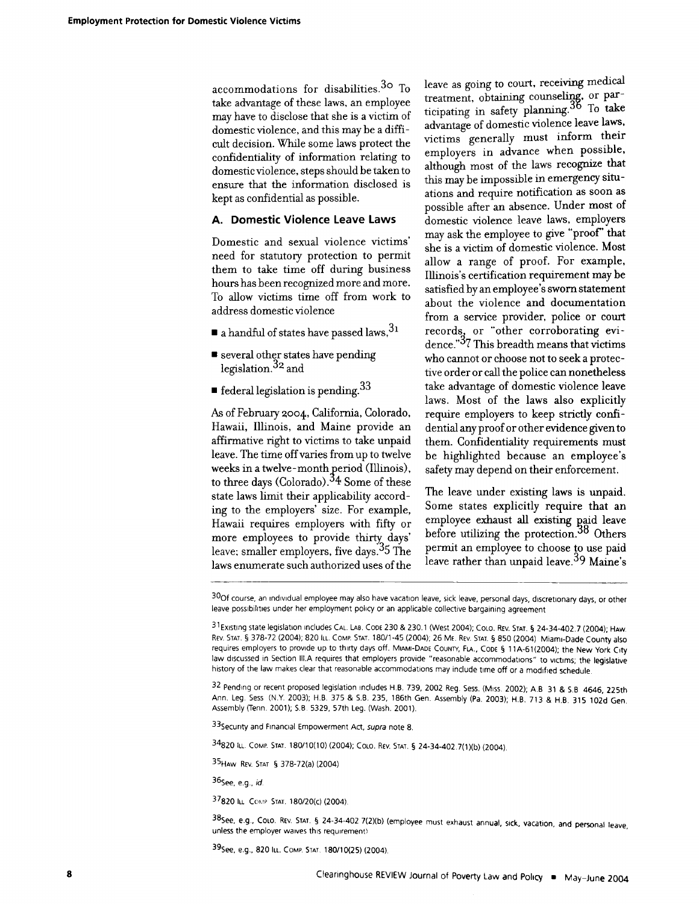accommodations for disabilities.<sup>30</sup> To take advantage of these laws, an employee may have to disclose that she is a victim of domestic violence, and this may be a difficult decision. While some laws protect the confidentiality of information relating to domestic violence, steps should be taken to ensure that the information disclosed is kept as confidential as possible.

#### **A. Domestic Violence Leave Laws**

Domestic and sexual violence victims' need for statutory protection to permit them to take time off during business hours has been recognized more and more. To allow victims time off from work to address domestic violence

- **"** a handful of states have passed laws, <sup>3</sup> <sup>1</sup>
- **"** several other states have pending legislation.<sup>32</sup> and
- $\blacksquare$  federal legislation is pending.<sup>33</sup>

As of February **2oo4,** California, Colorado, Hawaii, Illinois, and Maine provide an affirmative right to victims to take unpaid leave. The time off varies from up to twelve weeks in a twelve- month period (Illinois), to three days (Colorado).<sup>34</sup> Some of these state laws limit their applicability according to the employers' size. For example, Hawaii requires employers with fifty or more employees to provide thirty days' leave; smaller employers, five days.<sup>35</sup> The laws enumerate such authorized uses of the

leave as going to court, receiving medical treatment, obtaining counseling, or participating **in** safety **planning.3** To take advantage of domestic violence leave laws, victims generally must inform their employers in advance when possible, although most of **the** laws recognize that this may be impossible in emergency situations and require notification as soon as possible after an absence. Under most of domestic violence leave laws, employers may ask the employee to give "proof' that she is a victim of domestic violence. Most allow a range of proof. For example, Illinois's certification requirement may be satisfied **by** an employee's sworn statement about the violence and documentation from a service provider, police or court records, or "other corroborating evidence."<sup>37</sup> This breadth means that victims who cannot or choose not to seek a protective order or call the police can nonetheless take advantage of domestic violence leave laws. Most of the laws also explicitly require employers to keep strictly confidential any proof or other evidence given to them. Confidentiality requirements must be highlighted because an employee's safety may depend on their enforcement.

The leave under existing laws is unpaid. Some states explicitly require that an employee exhaust all **existing aid** leave before utilizing the **protection. 8 Others** permit an employee to choose to use paid leave rather than unpaid leave.<sup>39</sup> Maine's

32 Pending or recent proposed legislation includes H.B. 739, 2002 Reg. Sess. (Miss. 2002); A.B 31 & S.B 4646, 225th Ann. Leg. Sess (N.Y. 2003); H.B. 375 & S.B. 235, 186th Gen. Assembly (Pa. 2003); H.B. 713 & H.B. 315 102d Gen. Assembly (Tenn. 2001); S.B 5329, 57th Leg. (Wash. 2001).

33 Security and Financial Empowerment Act, supra note 8.

34820 ILL. COMP. **STAT.** 180/10(10) (2004); COLO. REV. STAT. **§** 24-34-402.7(1)(b) (2004).

35HAw REV STAT **§** 378-72(a) (2004)

<sup>3</sup> <sup>8</sup> See, e.g, COLO. REV. **STAT, §** 24-34-402 7(2)(b) (employee must exhaust annual, sick, vacation, and personal leave, unless the employer waives this requirement)

39 See, e.g., 820 ILL. COMP. STAT. 180/10(25) (2004)

**<sup>30</sup>f** course, an individual employee may also have vacation leave, sick leave, personal days, discretionary days, or other leave possibilities under her employment poicy or an applicable collective bargaining agreement

<sup>31</sup> Existing state legislation includes CAL. LAB. **CODE** 230 & 230.1 (West 2004); COLO. REV. **STAT. §** 24-34-402.7 (2004); HAW. REV. **STAT.** § 378-72 (2004); 820 ILL. COMP. STAT. 180/1-45 (2004); 26 ME. REV. STAT. § 850 (2004) Miami-Dade County also requires employers to provide up to thirty days off. MIAMI-DADE **COUNTY,** FLA., CODE **§** 11A-61(2004); the New York City law discussed in Section III.A requires that employers provide "reasonable accommodations" to victims; the legislative history of the law makes clear that reasonable accommodations may include time off or a modified schedule.

<sup>36</sup>See, e.g., id.

**<sup>37820</sup>** ILL CoMp **STAT.** 180/20(c) (2004).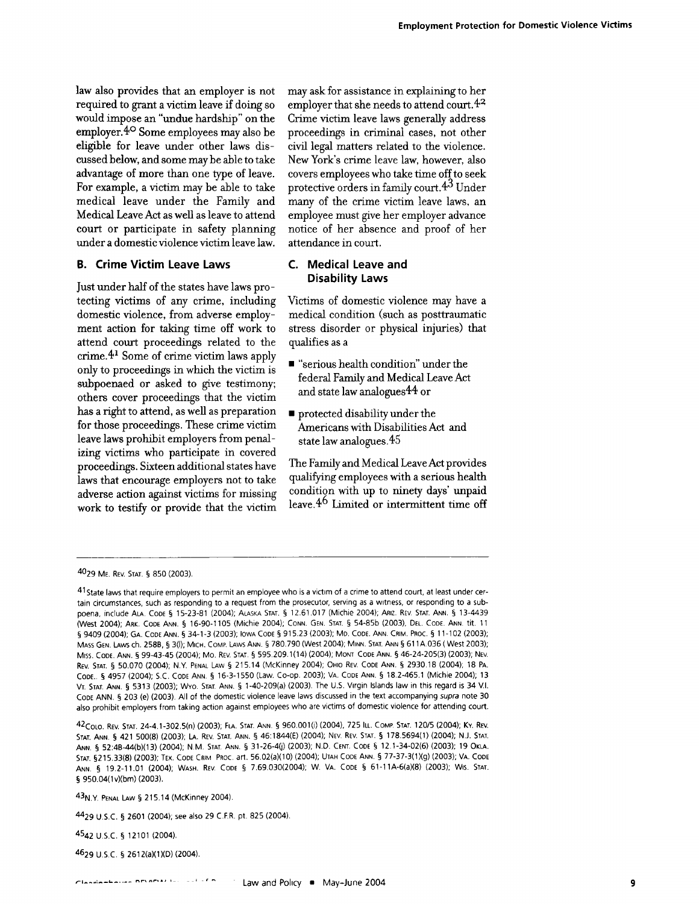law also provides that an employer is not required to grant a victim leave if doing so would impose an "undue hardship" on the employer.<sup>40</sup> Some employees may also be eligible for leave under other laws discussed below, and some **maybe** able to take advantage of more than one type of leave. For example, a victim may be able to take medical leave under the Family and Medical Leave Act as well as leave to attend court or participate in safety planning under a domestic violence victim leave law.

#### **B. Crime Victim Leave Laws**

Just under half of the states have laws protecting victims of any crime, including domestic violence, from adverse employment action for taking time off work to attend court proceedings related to the crime. 4<sup>1</sup> Some of crime victim laws apply only to proceedings in which the victim is subpoenaed or asked to give testimony; others cover proceedings that the victim has a right to attend, as well as preparation for those proceedings. These crime victim leave laws prohibit employers from penalizing victims who participate in covered proceedings. Sixteen additional states have laws that encourage employers not to take adverse action against victims for missing work to testify or provide that the victim may ask for assistance in explaining to her employer that she needs to attend court.  $4^2$ **Crime** victim leave laws generally address proceedings in criminal cases, not other civil legal matters related to the violence. New York's crime leave law, however, also covers employees who take time off to seek protective orders in family court.43 Under many of the crime victim leave laws, an employee must give her employer advance notice of her absence and proof of her attendance in court.

#### **C. Medical Leave and Disability Laws**

Victims of domestic violence may have a medical condition (such as posttraumatic stress disorder or physical injuries) that qualifies as a

- **"** "serious health condition" under the federal Family and Medical Leave Act and state law analogues 44 or
- **"** protected disability under the Americans with Disabilities Act and state law analogues. 45

The Family and Medical Leave Act provides qualifying employees with a serious health condition with up to ninety days' unpaid leave. $4<sup>6</sup>$  Limited or intermittent time off

43NY PENAL LAw **§** 215.14 (McKinney 2004)

4429 U.S.C. **§ 2601** (2004); see also 29 C.F.R. pt. 825 (2004).

4542 **U.S.C. §** 12101 (2004).

4629 **U.S.C. §** 2612(a)(1)(D) (2004).

<sup>4029</sup> ME. REV. **STAT.** § 850 (2003).

**<sup>41</sup>State** laws that require employers to permit an employee who is a victim of a crime to attend court, at least under certain circumstances, such as responding to a request from the prosecutor, serving as a witness, or responding to a subpoena, include **ALA.** CODE **§** 15-23-81 (2004); ALASKA STAT. **§** 12.61.017 (Michie 2004), ARiz. REV. STAT. ANN. **§** 13-4439 (West 2004); ARK. CODE ANN. **§** 16-90-1105 (Michie 2004); CONN. GEN. STAT. **§** 54-85b (2003), DEL. CODE. ANN. tit. 11 **§** 9409 (2004); **GA.** CODE ANN. **§** 34-1-3 (2003); IOwA CODE **§** 915.23 (2003); Mo. CODE. ANN. CRIM. PROC. **§** 11-102 (2003); MASS GEN. LAws ch. 258B, **§** 3(l); MICH. COMP. LAws ANN. § 780.790 (West 2004); MINN. **STAT.** ANN **§** 611 A.036 (West 2003); **MISS.** CODE. ANN. **§** 99-43-45 (2004); Mo. REV. **STAT. §** 595.209.1(14) (2004); MONT CODE ANN. **§** 46-24-205(3) (2003); NEV. REV. STAT. **§** 50.070 (2004); N.Y. PENAL LAw **§** 215.14 (McKinney 2004); OHIO REV. CODE ANN. **§** 2930.18 (2004); 18 PA. CODE., **§** 4957 (2004); **S.C.** CODE ANN. **§** 16-3-1550 (Law. Co-op. 2003); VA. CODE ANN. **§** 18.2-465.1 (Michie 2004); 13 VT. **STAT.** ANN. **§** 5313 (2003); Wyo. **STAT.** ANN. **§** 1-40-209(a) (2003). The U.S. Virgin Islands law in this regard is 34 V.I. CODE ANN, **§ 203** (e) (2003). **All** of the domestic violence leave laws discussed in the text accompanying supra note 30 also prohibit employers from taking action against employees who are victims of domestic violence for attending court.

<sup>4</sup> 2 COLO. REV. STAT. 24-4.1-302.5(n) (2003); FLA. **STAT.** ANN. **§** 960.001(i) (2004), 725 lu.. COMp. **STAT.** 120/5 (2004); Ky. REV. STAT. ANN. **§** 421 500(8) (2003); **LA.** REV. STAT, ANN. **§** 46:1844(E) (2004); NEV. REV. STAT. **§** 178.5694(1) (2004); N.J. STAT. ANN. **§** 52:4B-44(b)(13) (2004); **N.M** STAT. ANN. **§** 31-26-40) (2003); N.D. CENT. CODE **§** 12.1-34-02(6) (2003); 19 OKLA. **STAT.** §215.33(8) (2003); TEX. CODE CRIM PROC. art. 56.02(a)(10) (2004); UTAH CODE ANN, **§** 77-37-3(1)(g) (2003); VA. CODE ANN. **§** 19.2-11.01 (2004); WASH. REV. CODE **§** 7.69.030(2004); *W.* VA. CODE **§** 61-11A-6(aX8) (2003); Wis. **STAT. §** 950,04(lv)(bm) (2003).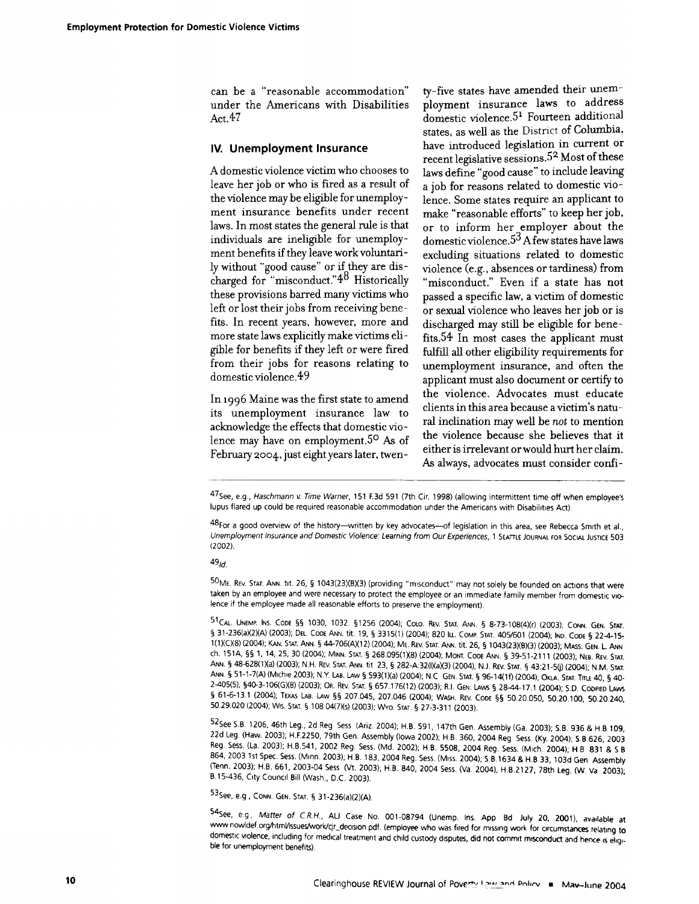can be a "reasonable accommodation" under the Americans with Disabilities Act.47

#### **IV. Unemployment Insurance**

A domestic violence victim who chooses to leave her job or who is fired as a result of the violence may be eligible for unemployment insurance benefits under recent laws. In most states the general rule is that individuals are ineligible for unemployment benefits if they leave work voluntarily without "good cause" or if they are discharged for "misconduct." $4^8$  Historically these provisions barred many victims who left or lost their jobs from receiving benefits. In recent years, however, more and more state laws explicitly make victims eligible for benefits if they left or were fired from their jobs for reasons relating to domestic violence. <sup>4</sup> <sup>9</sup>

In 1996 Maine was the first state to amend its unemployment insurance law to acknowledge the effects that domestic violence may have on employment.<sup>50</sup> As of February 2oc4, just eight years later, twen-

ty-five states have amended their unemployment insurance laws to address domestic violence.<sup>51</sup> Fourteen additional states, as well as the District of Columbia, have introduced legislation in current or recent legislative sessions.<sup>52</sup> Most of these laws define "good cause" to include leaving a job for reasons related to domestic violence. Some states require an applicant to make "reasonable efforts" to keep her job, or to inform her employer about the domestic violence.5 <sup>3</sup>**A** few states have laws excluding situations related to domestic violence (e.g., absences or tardiness) from "misconduct." Even if a state has not passed a specific law, a victim of domestic or sexual violence who leaves her job or is discharged may still be eligible for benefits.<sup>5</sup> 4 In most cases the applicant must fulfill all other eligibility requirements for unemployment insurance, and often the applicant must also document or certify to the violence. Advocates must educate clients in this area because a victim's natural inclination may well be not to mention the violence because she believes that it either is irrelevant or would hurt her claim. As always, advocates must consider confi-

4 7 See, e.g., Haschmann v Time Warner, 151 **F3d** 591 (7th Cir. 1998) (allowing intermittent time off when employee's lupus flared up could be required reasonable accommodation under the Americans with Disabilities Act).

48 For a good overview of the history--written by key advocates---of legislation in this area, see Rebecca Smith et al., Unemployment Insurance and Domestic Violence: Learning from Our Experiences, 1 SEATTLE JOURNAL FOR SOCIAL JUSTiCE 503 (2002).

*4 9 1d.*

**<sup>50</sup> ME.** REv. STAT. **ANN.** tit. 26, § 1043(23)(B)(3) (providing "misconduct" may not solely be founded on actions that were taken by an employee and were necessary to protect the employee or an immediate family member from domestic violence if the employee made all reasonable efforts to preserve the employment).

**5 1 CAL. UNEMP. INS. CODE** §§ 1030, 1032. §1256 (2004); **COLO.** REV. **STAT. ANN.** § 8-73-108(4)(r) (2003); **CONN. GEN. STAT.** § 31-236(aX2XA) (2003); **DEL. CODE ANN. tit.** 19, § 3315(1) (2004); 820 ILL. COMp **STAT.** 405/601 (2004); **IND. CODE §** 22-4-15- 1 (1XCX8) (2004); **KAN. STAT. ANN. §** 44-706(AX1 2) (2004); ME. REv. **STAT. ANN.** tit. 26, **§** 1043(23)(B)(3) (2003); MASS. GEN. L **ANN** ch. **151A,** §§ 1, 14, 25, 30 (2004), **MINN. STAT. §** 268.095(1X8) (2004); MONT. CODE **ANN.** § 39-51-2111 (2003); **NEB.** REV. **STAT. ANN.** § 48-628(lXa) (2003); N.H. REV. **STAT. ANN. tit** 23, § 282-A:32()(aX3) (2004), N.J. REV. **STAT.** § 43:21-5(j) (2004); N.M. **STAT. ANN.** § 51-1-7(A) (Michie 2003); N.Y. LAB. LAw § 593(1)(a) (2004); N.C **GEN. STAT. §** 96-14(1f) (2004), OKLA. **STAT.** Tm 40, **§** 40- 2-405(5), §40-3-106(G)(8) (2003); OR. REv. **STAT. §** 657.176(12) (2003); R.I. **GEN.** LAwS **§** 28-44-17.1 (2004); **SD. CODIFIED** LAws **§** 61-6-13.1 (2004), TExAs LAB. LAW **§§** 207,045, 207.046 (2004); WASH. REV. CODE §§ 50.20.050, 50.20.100, 50.20.240, 50.29.020 (2004) Wis. **STAT. §** 108 04(7Xs) (2003); WYo. **STAT.** § 27-3-311 (2003).

<sup>52</sup> See S.B. 1206, 46th Leg., 2d Reg Sess (Ariz. 2004); H.B. 591, 147th Gen. Assembly (Ga. 2003); S.B. 936 & H.B 109, 22d Leg. (Haw. 2003); H.F2250, 79th Gen. Assembly (Iowa 2002); H.B. 360, 2004 Reg Sess. (Ky. 2004); S.B.626, 2003 Reg, Sess. (La. 2003), H.B.541, 2002 Reg. Sess. (Md. 2002); H.B. **5508,** 2004 Reg. Sess. (Mich. 2004), H B 831 & S B 864, 2003 1st Spec. Sess. (Minn. 2003); H.B. 183, 2004 Reg. Sess. (Miss. 2004); **SB.1634** & H.B 33, 103d Gen Assembly (Tenn. 2003); H.B. 661, 2003-04 Sess (Vt. 2003); H.B. 840, 2004 Sess. (Va. 2004), H.B.2127, 78th Leg. (W. Va 2003); B. 15-436, City Council Bill (Wash., D.C. 2003).

53 See, e.g, **CONN. GEN. STAT.** § 31-236(a)(2)(A).

54See, e g, Matter of CR.H., AU Case No. 001-08794 (Unemp. Ins. App Bd July 20, 2001), available at www nowldef org/htmVissues/work/cjr-decision pdf. (employee who was fired for missing work for circumstances relating to domestic violence, including for medical treatment and child custody disputes, did not commit misconduct and hence is eligible for unemployment benefits).